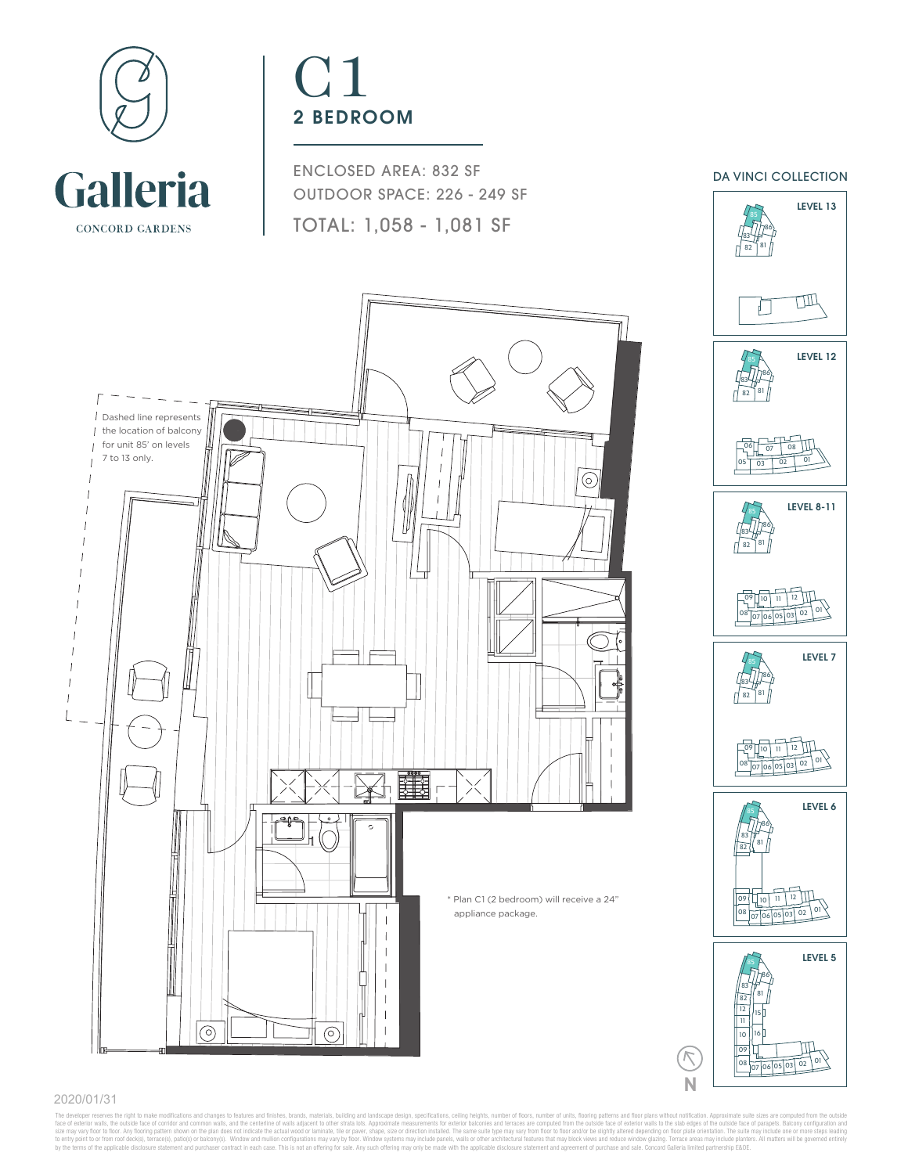

# C1 2 BEDROOM

ENCLOSED AREA: 832 SF OUTDOOR SPACE: 226 - 249 SF TOTAL: 1,058 - 1,081 SF

DA VINCI COLLECTION





08 07 06 05 03 02 01

 16

**N**

#### 2020/01/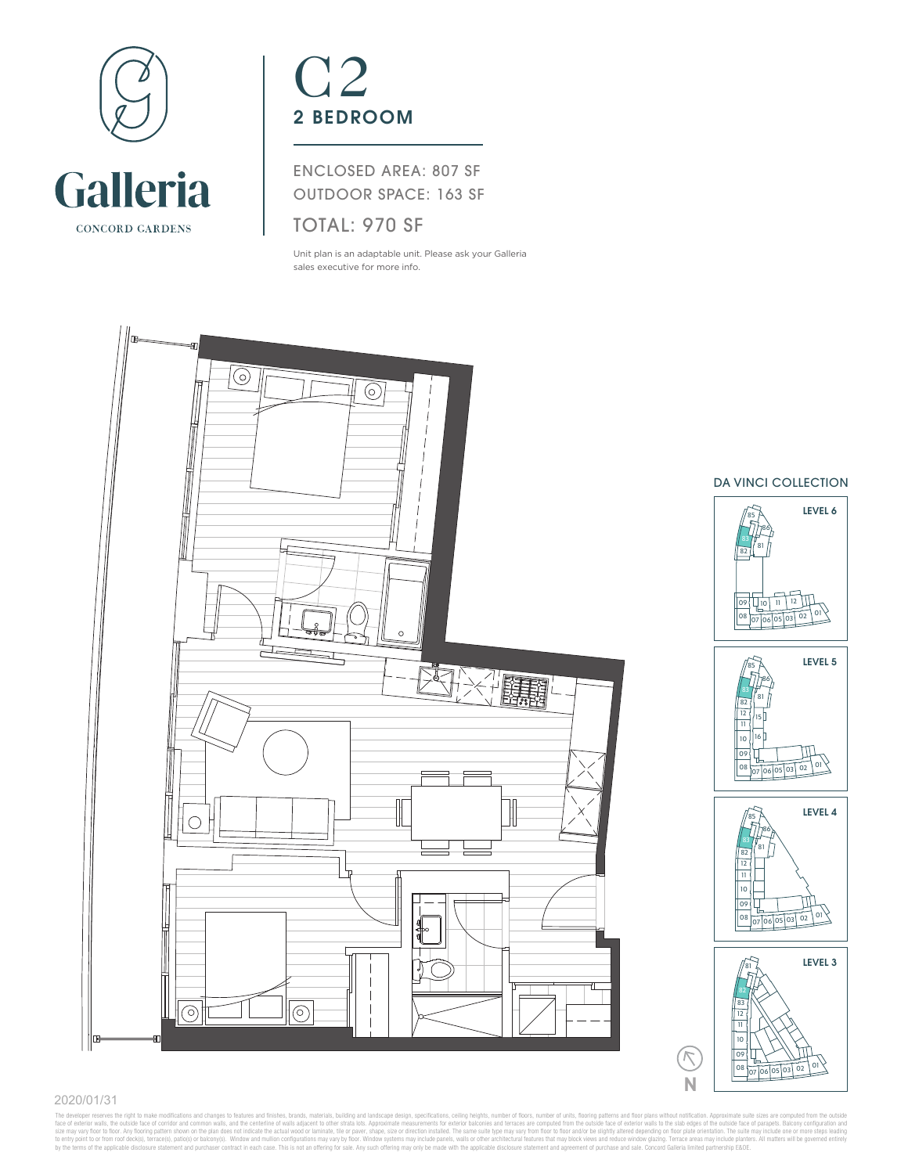

## C2 2 BEDROOM

ENCLOSED AREA: 807 SF OUTDOOR SPACE: 163 SF

### TOTAL: 970 SF

Unit plan is an adaptable unit. Please ask your Galleria sales executive for more info.



### DA VINCI COLLECTION









**N**

### 2020/01/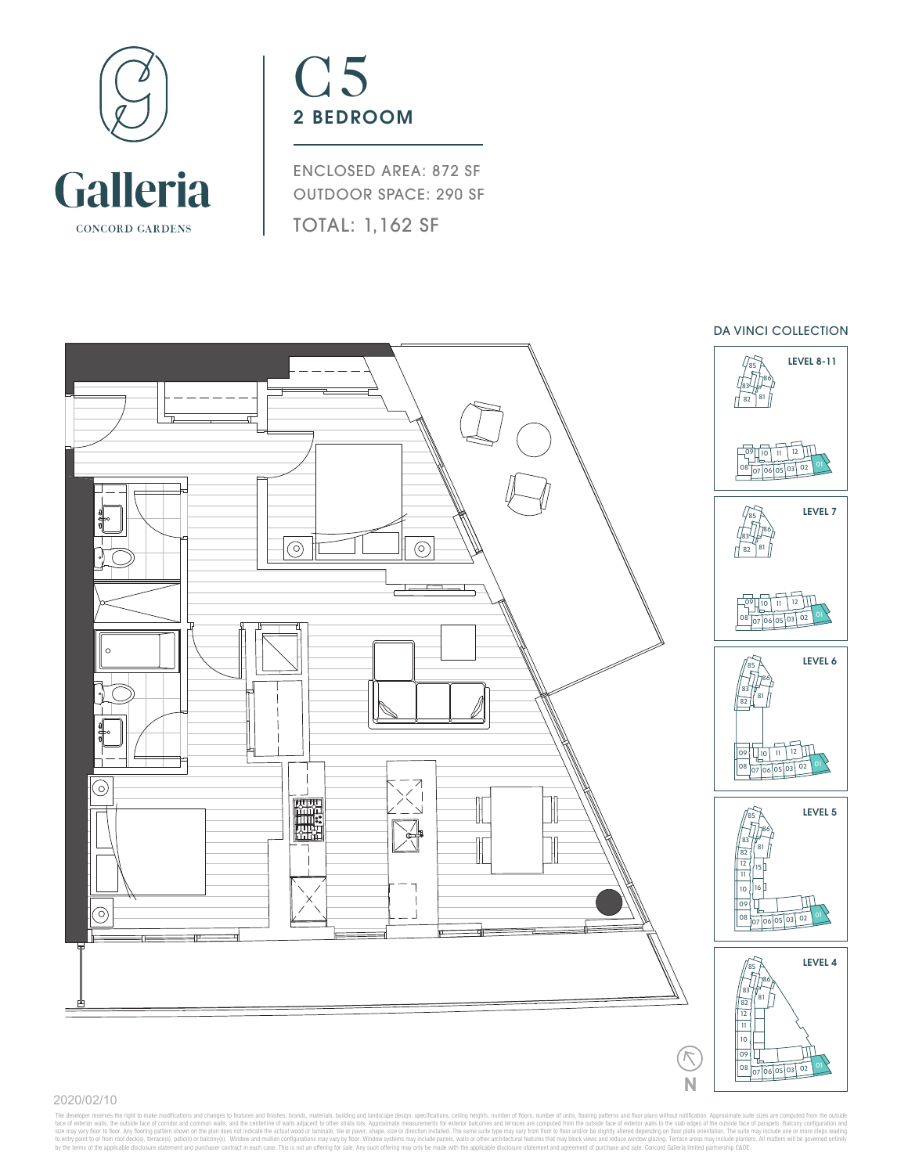

## C5 2 BEDROOM

ENCLOSED AREA: 872 SF OUTDOOR SPACE: 290 SF TOTAL: 1,162 SF



### 2020/02/10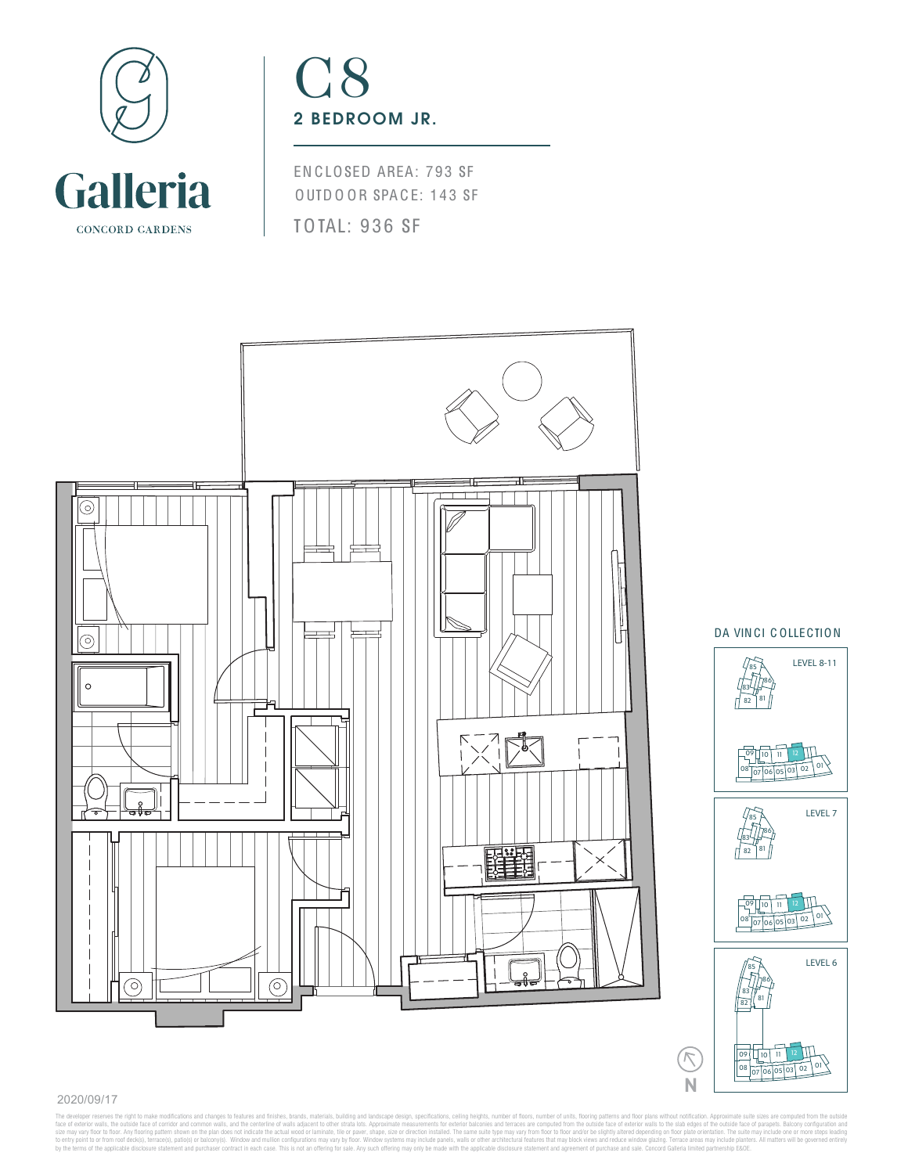

## C8 2 BEDROOM JR.

EN C LOSED AREA: 793 SF OUTD OOR SPACE: 143 SF TOTAL: 936 SF



#### 2020/09/17

The developer reserves the right to make modifications and changes to leatures and finishes, brandrais, building and landscape design, specifications, calima perspective makes and more of loos, and the centation and the co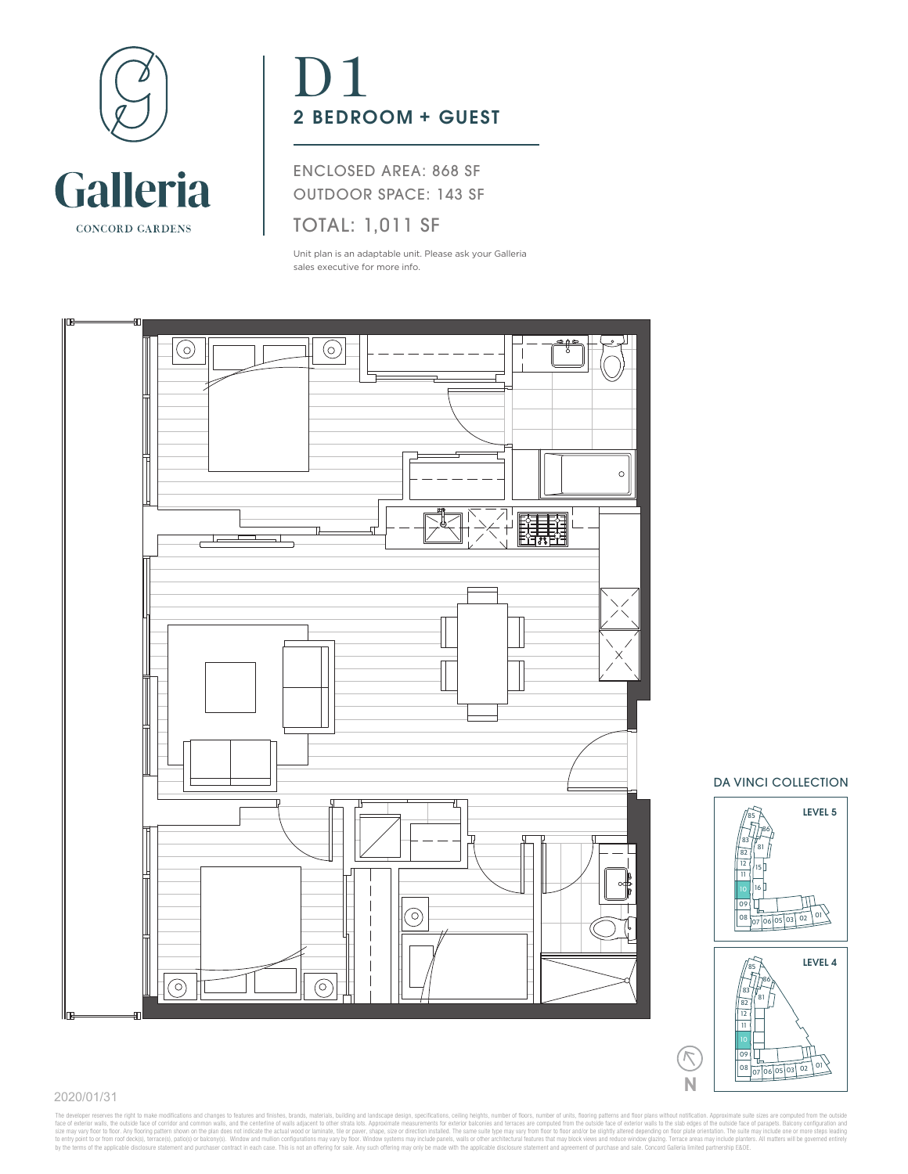

# D1 2 BEDROOM + GUEST

ENCLOSED AREA: 868 SF OUTDOOR SPACE: 143 SF

## TOTAL: 1,011 SF

Unit plan is an adaptable unit. Please ask your Galleria sales executive for more info.







**N**

 $\triangledown$ 

### 2020/01/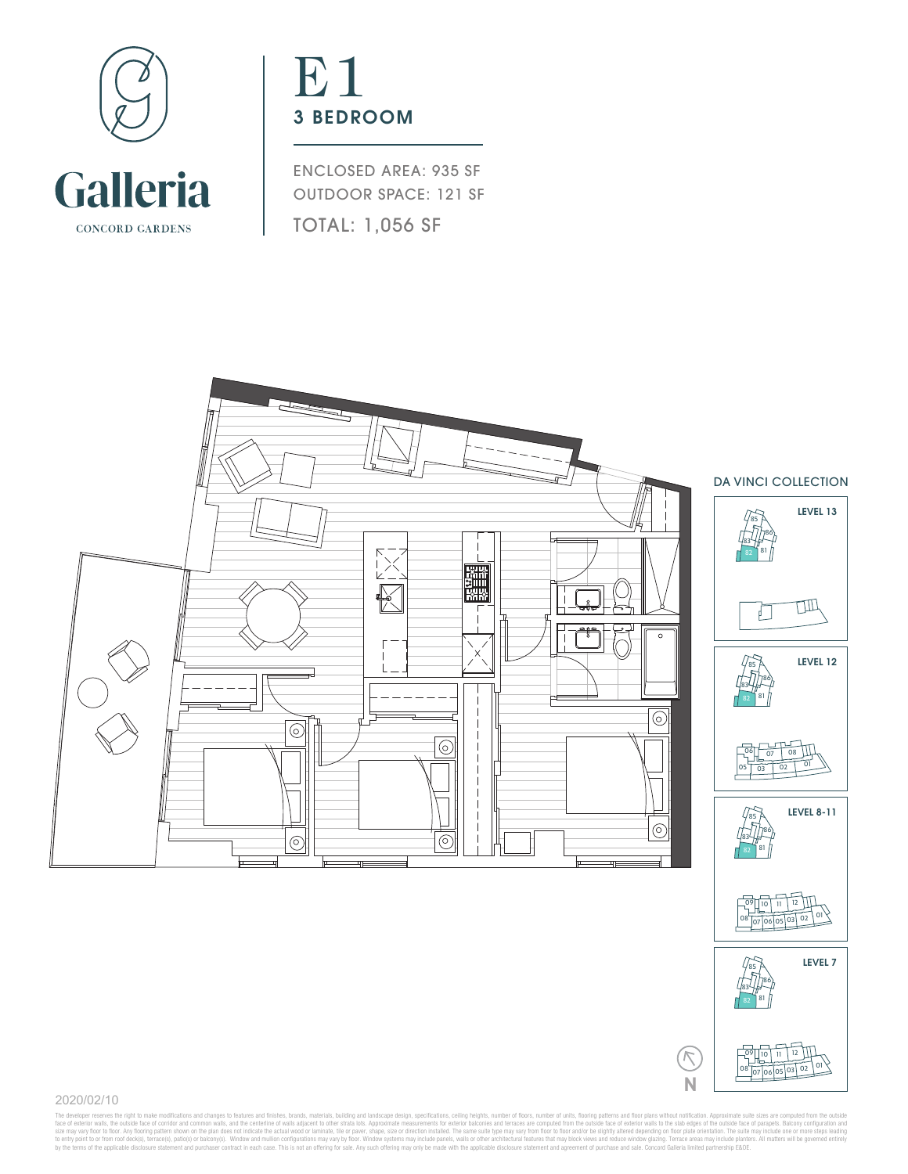

## E<sub>1</sub> 3 BEDROOM

ENCLOSED AREA: 935 SF OUTDOOR SPACE: 121 SF TOTAL: 1,056 SF



2020/02/10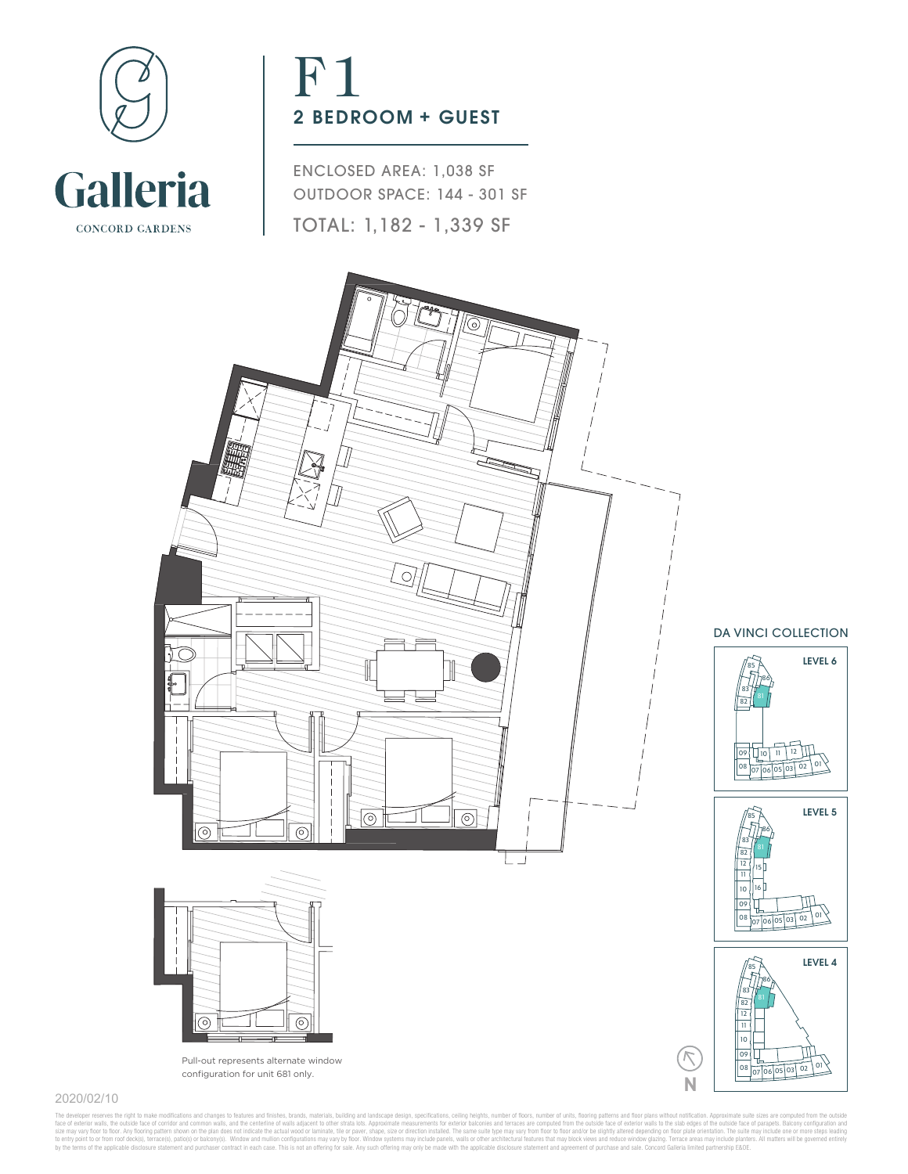

# F1 2 BEDROOM + GUEST

ENCLOSED AREA: 1,038 SF OUTDOOR SPACE: 144 - 301 SF TOTAL: 1,182 - 1,339 SF



### 2020/02/10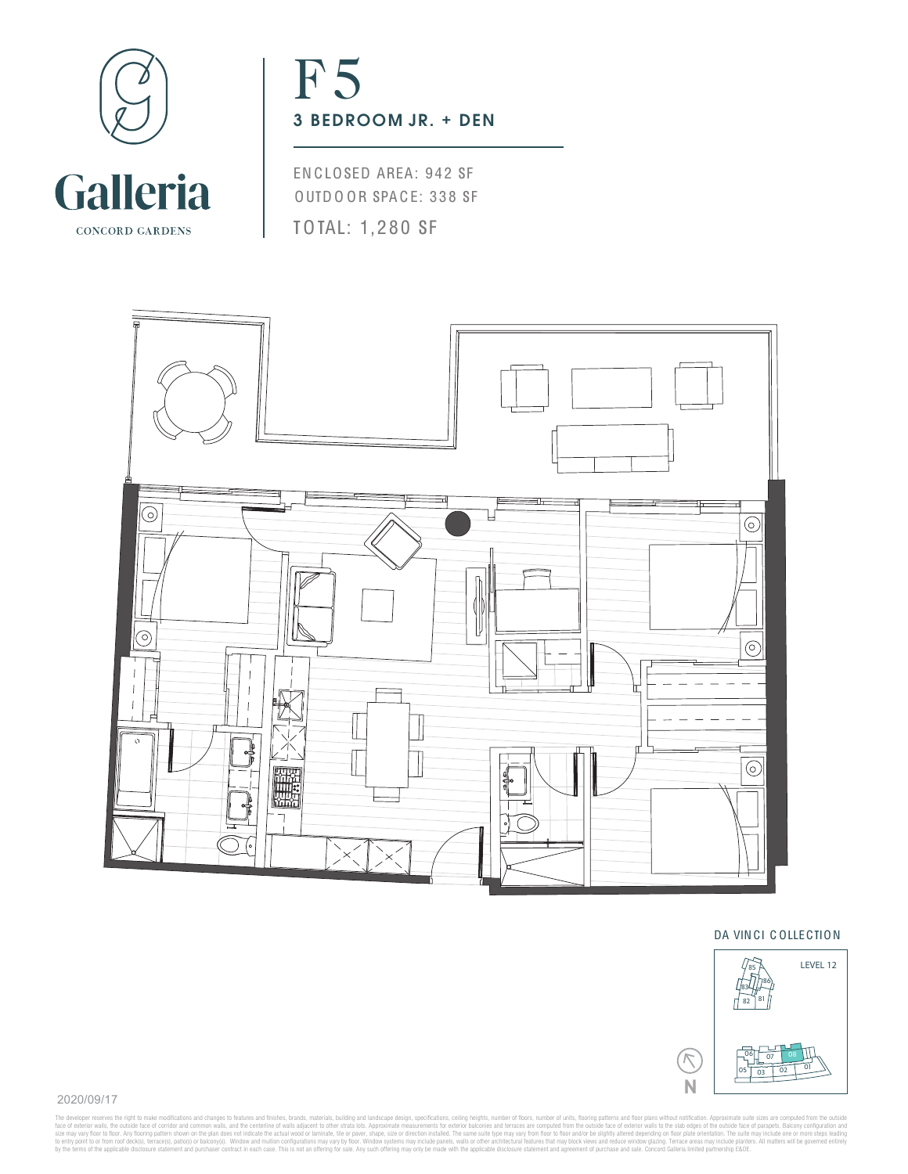

## F<sub>5</sub> 3 BEDROOM JR. + DEN

EN CLOSED AREA: 942 SF OUTD O OR SPACE: 338 SF TOTAL: 1,280 SF



### DA VIN CI C OLLECTION



2020/09/17

The developer reserves the right to make modifications and change to leatures and finishes, brandials, building and landscape design, specifications, calima perspective make and finishe perspective maker and incomparation